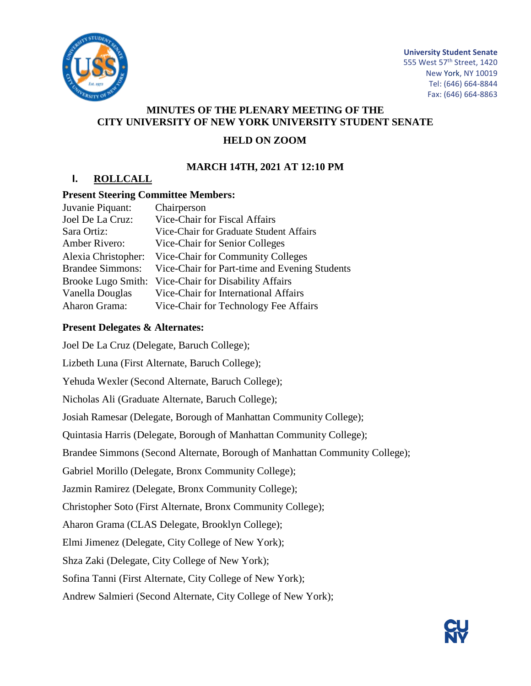

**University Student Senate**

555 West 57th Street, 1420 New York, NY 10019 Tel: (646) 664-8844 Fax: (646) 664-8863

### **MINUTES OF THE PLENARY MEETING OF THE CITY UNIVERSITY OF NEW YORK UNIVERSITY STUDENT SENATE**

### **HELD ON ZOOM**

### **MARCH 14TH, 2021 AT 12:10 PM**

## **I. ROLLCALL**

### **Present Steering Committee Members:**

| Juvanie Piquant:        | Chairperson                                   |
|-------------------------|-----------------------------------------------|
| Joel De La Cruz:        | Vice-Chair for Fiscal Affairs                 |
| Sara Ortiz:             | Vice-Chair for Graduate Student Affairs       |
| Amber Rivero:           | Vice-Chair for Senior Colleges                |
| Alexia Christopher:     | Vice-Chair for Community Colleges             |
| <b>Brandee Simmons:</b> | Vice-Chair for Part-time and Evening Students |
| Brooke Lugo Smith:      | Vice-Chair for Disability Affairs             |
| Vanella Douglas         | Vice-Chair for International Affairs          |
| Aharon Grama:           | Vice-Chair for Technology Fee Affairs         |
|                         |                                               |

### **Present Delegates & Alternates:**

Joel De La Cruz (Delegate, Baruch College); Lizbeth Luna (First Alternate, Baruch College); Yehuda Wexler (Second Alternate, Baruch College); Nicholas Ali (Graduate Alternate, Baruch College); Josiah Ramesar (Delegate, Borough of Manhattan Community College); Quintasia Harris (Delegate, Borough of Manhattan Community College); Brandee Simmons (Second Alternate, Borough of Manhattan Community College); Gabriel Morillo (Delegate, Bronx Community College); Jazmin Ramirez (Delegate, Bronx Community College); Christopher Soto (First Alternate, Bronx Community College); Aharon Grama (CLAS Delegate, Brooklyn College); Elmi Jimenez (Delegate, City College of New York); Shza Zaki (Delegate, City College of New York); Sofina Tanni (First Alternate, City College of New York); Andrew Salmieri (Second Alternate, City College of New York);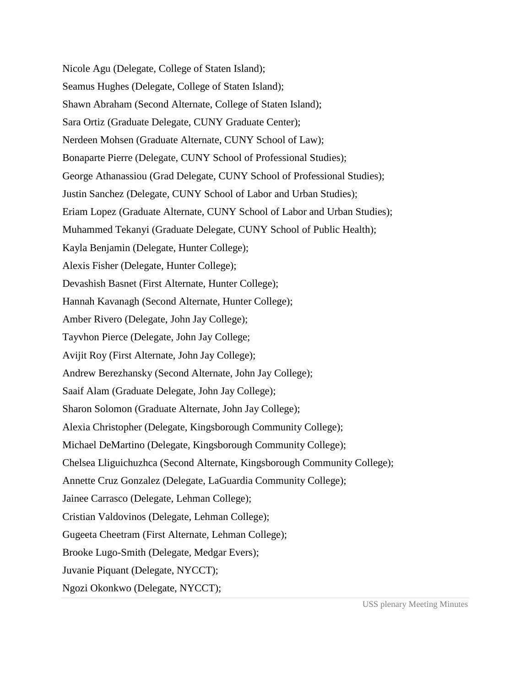Nicole Agu (Delegate, College of Staten Island); Seamus Hughes (Delegate, College of Staten Island); Shawn Abraham (Second Alternate, College of Staten Island); Sara Ortiz (Graduate Delegate, CUNY Graduate Center); Nerdeen Mohsen (Graduate Alternate, CUNY School of Law); Bonaparte Pierre (Delegate, CUNY School of Professional Studies); George Athanassiou (Grad Delegate, CUNY School of Professional Studies); Justin Sanchez (Delegate, CUNY School of Labor and Urban Studies); Eriam Lopez (Graduate Alternate, CUNY School of Labor and Urban Studies); Muhammed Tekanyi (Graduate Delegate, CUNY School of Public Health); Kayla Benjamin (Delegate, Hunter College); Alexis Fisher (Delegate, Hunter College); Devashish Basnet (First Alternate, Hunter College); Hannah Kavanagh (Second Alternate, Hunter College); Amber Rivero (Delegate, John Jay College); Tayvhon Pierce (Delegate, John Jay College; Avijit Roy (First Alternate, John Jay College); Andrew Berezhansky (Second Alternate, John Jay College); Saaif Alam (Graduate Delegate, John Jay College); Sharon Solomon (Graduate Alternate, John Jay College); Alexia Christopher (Delegate, Kingsborough Community College); Michael DeMartino (Delegate, Kingsborough Community College); Chelsea Lliguichuzhca (Second Alternate, Kingsborough Community College); Annette Cruz Gonzalez (Delegate, LaGuardia Community College); Jainee Carrasco (Delegate, Lehman College); Cristian Valdovinos (Delegate, Lehman College); Gugeeta Cheetram (First Alternate, Lehman College); Brooke Lugo-Smith (Delegate, Medgar Evers); Juvanie Piquant (Delegate, NYCCT); Ngozi Okonkwo (Delegate, NYCCT);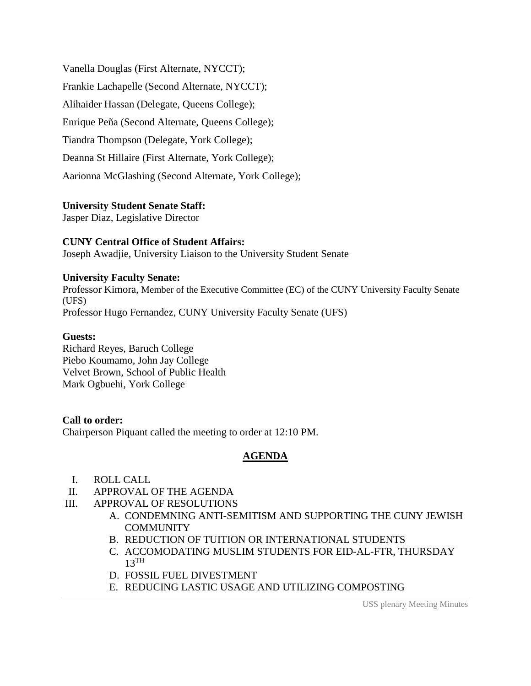Vanella Douglas (First Alternate, NYCCT); Frankie Lachapelle (Second Alternate, NYCCT); Alihaider Hassan (Delegate, Queens College); Enrique Peña (Second Alternate, Queens College); Tiandra Thompson (Delegate, York College); Deanna St Hillaire (First Alternate, York College); Aarionna McGlashing (Second Alternate, York College);

### **University Student Senate Staff:**

Jasper Diaz, Legislative Director

#### **CUNY Central Office of Student Affairs:**

Joseph Awadjie, University Liaison to the University Student Senate

#### **University Faculty Senate:**

Professor Kimora, Member of the Executive Committee (EC) of the CUNY University Faculty Senate (UFS) Professor Hugo Fernandez, CUNY University Faculty Senate (UFS)

#### **Guests:**

Richard Reyes, Baruch College Piebo Koumamo, John Jay College Velvet Brown, School of Public Health Mark Ogbuehi, York College

### **Call to order:**

Chairperson Piquant called the meeting to order at 12:10 PM.

### **AGENDA**

- I. ROLL CALL
- II. APPROVAL OF THE AGENDA
- III. APPROVAL OF RESOLUTIONS
	- A. CONDEMNING ANTI-SEMITISM AND SUPPORTING THE CUNY JEWISH **COMMUNITY**
	- B. REDUCTION OF TUITION OR INTERNATIONAL STUDENTS
	- C. ACCOMODATING MUSLIM STUDENTS FOR EID-AL-FTR, THURSDAY  $13$ <sup>TH</sup>
	- D. FOSSIL FUEL DIVESTMENT
	- E. REDUCING LASTIC USAGE AND UTILIZING COMPOSTING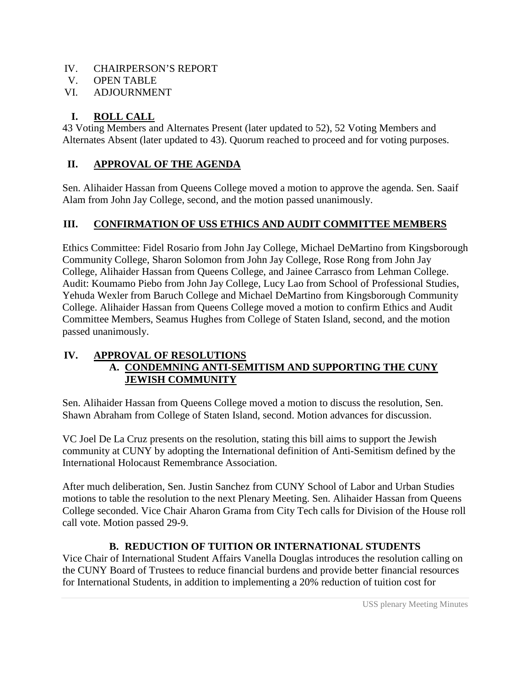## IV. CHAIRPERSON'S REPORT

- V. OPEN TABLE
- VI. ADJOURNMENT

# **I. ROLL CALL**

43 Voting Members and Alternates Present (later updated to 52), 52 Voting Members and Alternates Absent (later updated to 43). Quorum reached to proceed and for voting purposes.

# **II. APPROVAL OF THE AGENDA**

Sen. Alihaider Hassan from Queens College moved a motion to approve the agenda. Sen. Saaif Alam from John Jay College, second, and the motion passed unanimously.

# **III. CONFIRMATION OF USS ETHICS AND AUDIT COMMITTEE MEMBERS**

Ethics Committee: Fidel Rosario from John Jay College, Michael DeMartino from Kingsborough Community College, Sharon Solomon from John Jay College, Rose Rong from John Jay College, Alihaider Hassan from Queens College, and Jainee Carrasco from Lehman College. Audit: Koumamo Piebo from John Jay College, Lucy Lao from School of Professional Studies, Yehuda Wexler from Baruch College and Michael DeMartino from Kingsborough Community College. Alihaider Hassan from Queens College moved a motion to confirm Ethics and Audit Committee Members, Seamus Hughes from College of Staten Island, second, and the motion passed unanimously.

## **IV. APPROVAL OF RESOLUTIONS A. CONDEMNING ANTI-SEMITISM AND SUPPORTING THE CUNY JEWISH COMMUNITY**

Sen. Alihaider Hassan from Queens College moved a motion to discuss the resolution, Sen. Shawn Abraham from College of Staten Island, second. Motion advances for discussion.

VC Joel De La Cruz presents on the resolution, stating this bill aims to support the Jewish community at CUNY by adopting the International definition of Anti-Semitism defined by the International Holocaust Remembrance Association.

After much deliberation, Sen. Justin Sanchez from CUNY School of Labor and Urban Studies motions to table the resolution to the next Plenary Meeting. Sen. Alihaider Hassan from Queens College seconded. Vice Chair Aharon Grama from City Tech calls for Division of the House roll call vote. Motion passed 29-9.

## **B. REDUCTION OF TUITION OR INTERNATIONAL STUDENTS**

Vice Chair of International Student Affairs Vanella Douglas introduces the resolution calling on the CUNY Board of Trustees to reduce financial burdens and provide better financial resources for International Students, in addition to implementing a 20% reduction of tuition cost for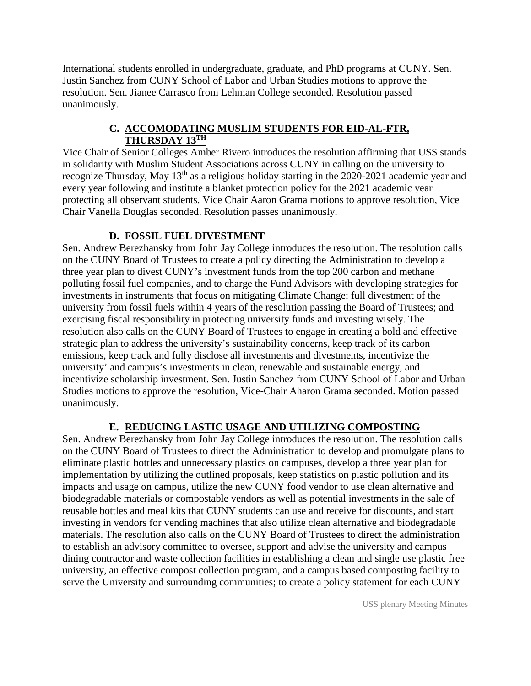International students enrolled in undergraduate, graduate, and PhD programs at CUNY. Sen. Justin Sanchez from CUNY School of Labor and Urban Studies motions to approve the resolution. Sen. Jianee Carrasco from Lehman College seconded. Resolution passed unanimously.

## **C. ACCOMODATING MUSLIM STUDENTS FOR EID-AL-FTR, THURSDAY 13TH**

Vice Chair of Senior Colleges Amber Rivero introduces the resolution affirming that USS stands in solidarity with Muslim Student Associations across CUNY in calling on the university to recognize Thursday, May 13<sup>th</sup> as a religious holiday starting in the 2020-2021 academic year and every year following and institute a blanket protection policy for the 2021 academic year protecting all observant students. Vice Chair Aaron Grama motions to approve resolution, Vice Chair Vanella Douglas seconded. Resolution passes unanimously.

# **D. FOSSIL FUEL DIVESTMENT**

Sen. Andrew Berezhansky from John Jay College introduces the resolution. The resolution calls on the CUNY Board of Trustees to create a policy directing the Administration to develop a three year plan to divest CUNY's investment funds from the top 200 carbon and methane polluting fossil fuel companies, and to charge the Fund Advisors with developing strategies for investments in instruments that focus on mitigating Climate Change; full divestment of the university from fossil fuels within 4 years of the resolution passing the Board of Trustees; and exercising fiscal responsibility in protecting university funds and investing wisely. The resolution also calls on the CUNY Board of Trustees to engage in creating a bold and effective strategic plan to address the university's sustainability concerns, keep track of its carbon emissions, keep track and fully disclose all investments and divestments, incentivize the university' and campus's investments in clean, renewable and sustainable energy, and incentivize scholarship investment. Sen. Justin Sanchez from CUNY School of Labor and Urban Studies motions to approve the resolution, Vice-Chair Aharon Grama seconded. Motion passed unanimously.

## **E. REDUCING LASTIC USAGE AND UTILIZING COMPOSTING**

Sen. Andrew Berezhansky from John Jay College introduces the resolution. The resolution calls on the CUNY Board of Trustees to direct the Administration to develop and promulgate plans to eliminate plastic bottles and unnecessary plastics on campuses, develop a three year plan for implementation by utilizing the outlined proposals, keep statistics on plastic pollution and its impacts and usage on campus, utilize the new CUNY food vendor to use clean alternative and biodegradable materials or compostable vendors as well as potential investments in the sale of reusable bottles and meal kits that CUNY students can use and receive for discounts, and start investing in vendors for vending machines that also utilize clean alternative and biodegradable materials. The resolution also calls on the CUNY Board of Trustees to direct the administration to establish an advisory committee to oversee, support and advise the university and campus dining contractor and waste collection facilities in establishing a clean and single use plastic free university, an effective compost collection program, and a campus based composting facility to serve the University and surrounding communities; to create a policy statement for each CUNY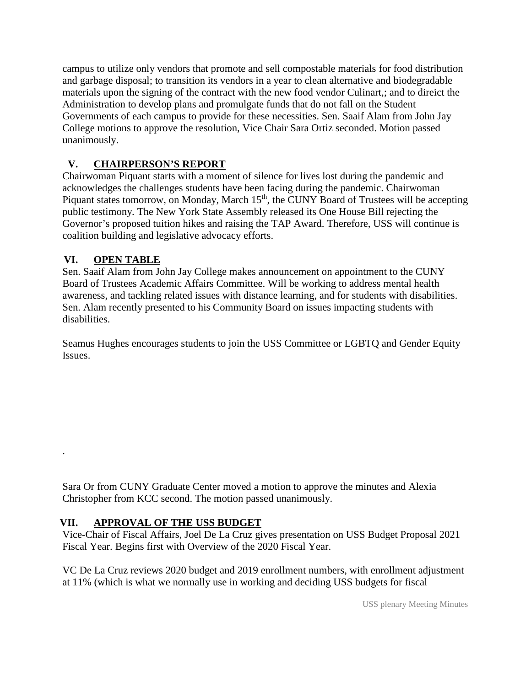campus to utilize only vendors that promote and sell compostable materials for food distribution and garbage disposal; to transition its vendors in a year to clean alternative and biodegradable materials upon the signing of the contract with the new food vendor Culinart,; and to direict the Administration to develop plans and promulgate funds that do not fall on the Student Governments of each campus to provide for these necessities. Sen. Saaif Alam from John Jay College motions to approve the resolution, Vice Chair Sara Ortiz seconded. Motion passed unanimously.

# **V. CHAIRPERSON'S REPORT**

Chairwoman Piquant starts with a moment of silence for lives lost during the pandemic and acknowledges the challenges students have been facing during the pandemic. Chairwoman Piquant states tomorrow, on Monday, March 15<sup>th</sup>, the CUNY Board of Trustees will be accepting public testimony. The New York State Assembly released its One House Bill rejecting the Governor's proposed tuition hikes and raising the TAP Award. Therefore, USS will continue is coalition building and legislative advocacy efforts.

# **VI. OPEN TABLE**

.

Sen. Saaif Alam from John Jay College makes announcement on appointment to the CUNY Board of Trustees Academic Affairs Committee. Will be working to address mental health awareness, and tackling related issues with distance learning, and for students with disabilities. Sen. Alam recently presented to his Community Board on issues impacting students with disabilities.

Seamus Hughes encourages students to join the USS Committee or LGBTQ and Gender Equity Issues.

Sara Or from CUNY Graduate Center moved a motion to approve the minutes and Alexia Christopher from KCC second. The motion passed unanimously.

## **VII. APPROVAL OF THE USS BUDGET**

Vice-Chair of Fiscal Affairs, Joel De La Cruz gives presentation on USS Budget Proposal 2021 Fiscal Year. Begins first with Overview of the 2020 Fiscal Year.

VC De La Cruz reviews 2020 budget and 2019 enrollment numbers, with enrollment adjustment at 11% (which is what we normally use in working and deciding USS budgets for fiscal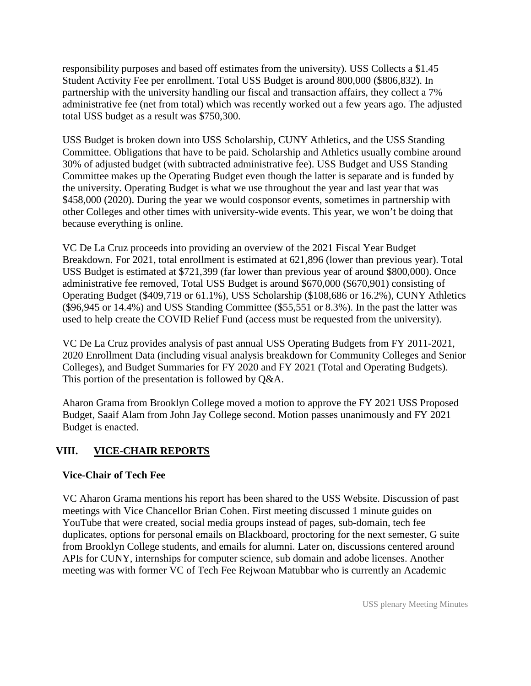responsibility purposes and based off estimates from the university). USS Collects a \$1.45 Student Activity Fee per enrollment. Total USS Budget is around 800,000 (\$806,832). In partnership with the university handling our fiscal and transaction affairs, they collect a 7% administrative fee (net from total) which was recently worked out a few years ago. The adjusted total USS budget as a result was \$750,300.

USS Budget is broken down into USS Scholarship, CUNY Athletics, and the USS Standing Committee. Obligations that have to be paid. Scholarship and Athletics usually combine around 30% of adjusted budget (with subtracted administrative fee). USS Budget and USS Standing Committee makes up the Operating Budget even though the latter is separate and is funded by the university. Operating Budget is what we use throughout the year and last year that was \$458,000 (2020). During the year we would cosponsor events, sometimes in partnership with other Colleges and other times with university-wide events. This year, we won't be doing that because everything is online.

VC De La Cruz proceeds into providing an overview of the 2021 Fiscal Year Budget Breakdown. For 2021, total enrollment is estimated at 621,896 (lower than previous year). Total USS Budget is estimated at \$721,399 (far lower than previous year of around \$800,000). Once administrative fee removed, Total USS Budget is around \$670,000 (\$670,901) consisting of Operating Budget (\$409,719 or 61.1%), USS Scholarship (\$108,686 or 16.2%), CUNY Athletics (\$96,945 or 14.4%) and USS Standing Committee (\$55,551 or 8.3%). In the past the latter was used to help create the COVID Relief Fund (access must be requested from the university).

VC De La Cruz provides analysis of past annual USS Operating Budgets from FY 2011-2021, 2020 Enrollment Data (including visual analysis breakdown for Community Colleges and Senior Colleges), and Budget Summaries for FY 2020 and FY 2021 (Total and Operating Budgets). This portion of the presentation is followed by Q&A.

Aharon Grama from Brooklyn College moved a motion to approve the FY 2021 USS Proposed Budget, Saaif Alam from John Jay College second. Motion passes unanimously and FY 2021 Budget is enacted.

# **VIII. VICE-CHAIR REPORTS**

## **Vice-Chair of Tech Fee**

VC Aharon Grama mentions his report has been shared to the USS Website. Discussion of past meetings with Vice Chancellor Brian Cohen. First meeting discussed 1 minute guides on YouTube that were created, social media groups instead of pages, sub-domain, tech fee duplicates, options for personal emails on Blackboard, proctoring for the next semester, G suite from Brooklyn College students, and emails for alumni. Later on, discussions centered around APIs for CUNY, internships for computer science, sub domain and adobe licenses. Another meeting was with former VC of Tech Fee Rejwoan Matubbar who is currently an Academic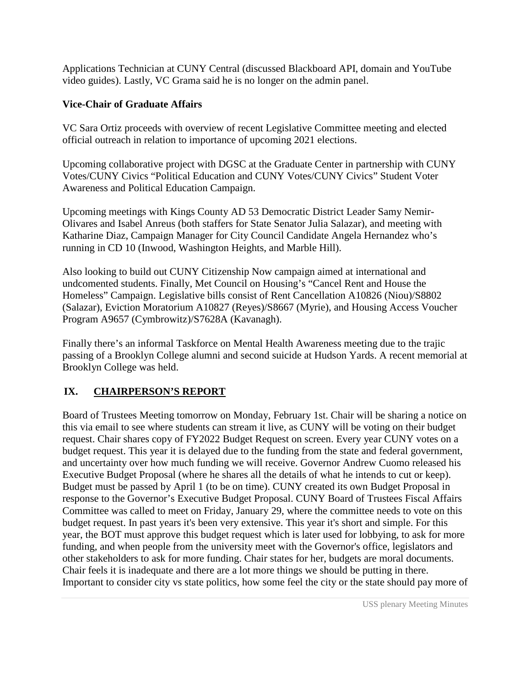Applications Technician at CUNY Central (discussed Blackboard API, domain and YouTube video guides). Lastly, VC Grama said he is no longer on the admin panel.

## **Vice-Chair of Graduate Affairs**

VC Sara Ortiz proceeds with overview of recent Legislative Committee meeting and elected official outreach in relation to importance of upcoming 2021 elections.

Upcoming collaborative project with DGSC at the Graduate Center in partnership with CUNY Votes/CUNY Civics "Political Education and CUNY Votes/CUNY Civics" Student Voter Awareness and Political Education Campaign.

Upcoming meetings with Kings County AD 53 Democratic District Leader Samy Nemir-Olivares and Isabel Anreus (both staffers for State Senator Julia Salazar), and meeting with Katharine Diaz, Campaign Manager for City Council Candidate Angela Hernandez who's running in CD 10 (Inwood, Washington Heights, and Marble Hill).

Also looking to build out CUNY Citizenship Now campaign aimed at international and undcomented students. Finally, Met Council on Housing's "Cancel Rent and House the Homeless" Campaign. Legislative bills consist of Rent Cancellation A10826 (Niou)/S8802 (Salazar), Eviction Moratorium A10827 (Reyes)/S8667 (Myrie), and Housing Access Voucher Program A9657 (Cymbrowitz)/S7628A (Kavanagh).

Finally there's an informal Taskforce on Mental Health Awareness meeting due to the trajic passing of a Brooklyn College alumni and second suicide at Hudson Yards. A recent memorial at Brooklyn College was held.

# **IX. CHAIRPERSON'S REPORT**

Board of Trustees Meeting tomorrow on Monday, February 1st. Chair will be sharing a notice on this via email to see where students can stream it live, as CUNY will be voting on their budget request. Chair shares copy of FY2022 Budget Request on screen. Every year CUNY votes on a budget request. This year it is delayed due to the funding from the state and federal government, and uncertainty over how much funding we will receive. Governor Andrew Cuomo released his Executive Budget Proposal (where he shares all the details of what he intends to cut or keep). Budget must be passed by April 1 (to be on time). CUNY created its own Budget Proposal in response to the Governor's Executive Budget Proposal. CUNY Board of Trustees Fiscal Affairs Committee was called to meet on Friday, January 29, where the committee needs to vote on this budget request. In past years it's been very extensive. This year it's short and simple. For this year, the BOT must approve this budget request which is later used for lobbying, to ask for more funding, and when people from the university meet with the Governor's office, legislators and other stakeholders to ask for more funding. Chair states for her, budgets are moral documents. Chair feels it is inadequate and there are a lot more things we should be putting in there. Important to consider city vs state politics, how some feel the city or the state should pay more of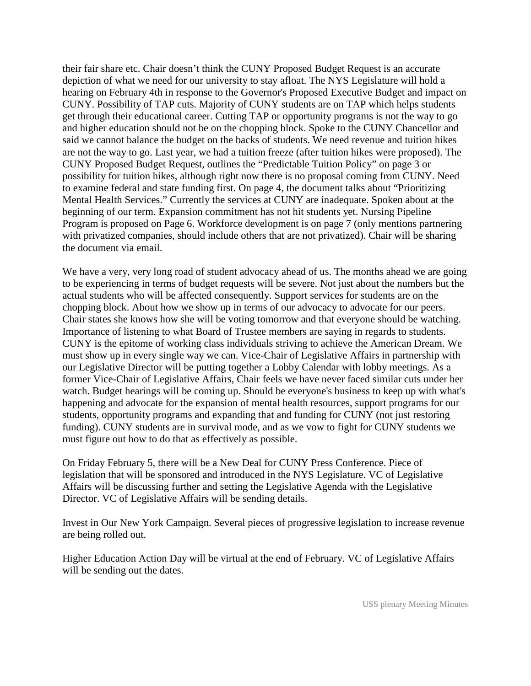their fair share etc. Chair doesn't think the CUNY Proposed Budget Request is an accurate depiction of what we need for our university to stay afloat. The NYS Legislature will hold a hearing on February 4th in response to the Governor's Proposed Executive Budget and impact on CUNY. Possibility of TAP cuts. Majority of CUNY students are on TAP which helps students get through their educational career. Cutting TAP or opportunity programs is not the way to go and higher education should not be on the chopping block. Spoke to the CUNY Chancellor and said we cannot balance the budget on the backs of students. We need revenue and tuition hikes are not the way to go. Last year, we had a tuition freeze (after tuition hikes were proposed). The CUNY Proposed Budget Request, outlines the "Predictable Tuition Policy" on page 3 or possibility for tuition hikes, although right now there is no proposal coming from CUNY. Need to examine federal and state funding first. On page 4, the document talks about "Prioritizing Mental Health Services." Currently the services at CUNY are inadequate. Spoken about at the beginning of our term. Expansion commitment has not hit students yet. Nursing Pipeline Program is proposed on Page 6. Workforce development is on page 7 (only mentions partnering with privatized companies, should include others that are not privatized). Chair will be sharing the document via email.

We have a very, very long road of student advocacy ahead of us. The months ahead we are going to be experiencing in terms of budget requests will be severe. Not just about the numbers but the actual students who will be affected consequently. Support services for students are on the chopping block. About how we show up in terms of our advocacy to advocate for our peers. Chair states she knows how she will be voting tomorrow and that everyone should be watching. Importance of listening to what Board of Trustee members are saying in regards to students. CUNY is the epitome of working class individuals striving to achieve the American Dream. We must show up in every single way we can. Vice-Chair of Legislative Affairs in partnership with our Legislative Director will be putting together a Lobby Calendar with lobby meetings. As a former Vice-Chair of Legislative Affairs, Chair feels we have never faced similar cuts under her watch. Budget hearings will be coming up. Should be everyone's business to keep up with what's happening and advocate for the expansion of mental health resources, support programs for our students, opportunity programs and expanding that and funding for CUNY (not just restoring funding). CUNY students are in survival mode, and as we vow to fight for CUNY students we must figure out how to do that as effectively as possible.

On Friday February 5, there will be a New Deal for CUNY Press Conference. Piece of legislation that will be sponsored and introduced in the NYS Legislature. VC of Legislative Affairs will be discussing further and setting the Legislative Agenda with the Legislative Director. VC of Legislative Affairs will be sending details.

Invest in Our New York Campaign. Several pieces of progressive legislation to increase revenue are being rolled out.

Higher Education Action Day will be virtual at the end of February. VC of Legislative Affairs will be sending out the dates.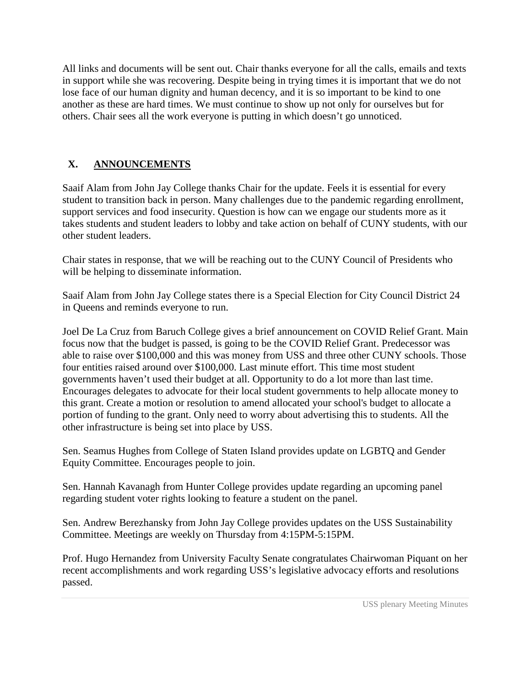All links and documents will be sent out. Chair thanks everyone for all the calls, emails and texts in support while she was recovering. Despite being in trying times it is important that we do not lose face of our human dignity and human decency, and it is so important to be kind to one another as these are hard times. We must continue to show up not only for ourselves but for others. Chair sees all the work everyone is putting in which doesn't go unnoticed.

# **X. ANNOUNCEMENTS**

Saaif Alam from John Jay College thanks Chair for the update. Feels it is essential for every student to transition back in person. Many challenges due to the pandemic regarding enrollment, support services and food insecurity. Question is how can we engage our students more as it takes students and student leaders to lobby and take action on behalf of CUNY students, with our other student leaders.

Chair states in response, that we will be reaching out to the CUNY Council of Presidents who will be helping to disseminate information.

Saaif Alam from John Jay College states there is a Special Election for City Council District 24 in Queens and reminds everyone to run.

Joel De La Cruz from Baruch College gives a brief announcement on COVID Relief Grant. Main focus now that the budget is passed, is going to be the COVID Relief Grant. Predecessor was able to raise over \$100,000 and this was money from USS and three other CUNY schools. Those four entities raised around over \$100,000. Last minute effort. This time most student governments haven't used their budget at all. Opportunity to do a lot more than last time. Encourages delegates to advocate for their local student governments to help allocate money to this grant. Create a motion or resolution to amend allocated your school's budget to allocate a portion of funding to the grant. Only need to worry about advertising this to students. All the other infrastructure is being set into place by USS.

Sen. Seamus Hughes from College of Staten Island provides update on LGBTQ and Gender Equity Committee. Encourages people to join.

Sen. Hannah Kavanagh from Hunter College provides update regarding an upcoming panel regarding student voter rights looking to feature a student on the panel.

Sen. Andrew Berezhansky from John Jay College provides updates on the USS Sustainability Committee. Meetings are weekly on Thursday from 4:15PM-5:15PM.

Prof. Hugo Hernandez from University Faculty Senate congratulates Chairwoman Piquant on her recent accomplishments and work regarding USS's legislative advocacy efforts and resolutions passed.